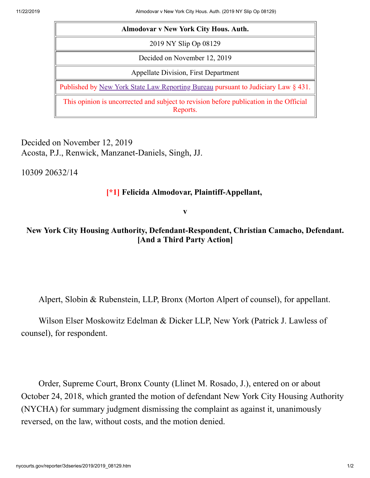| <b>Almodovar v New York City Hous. Auth.</b>                                                       |
|----------------------------------------------------------------------------------------------------|
| 2019 NY Slip Op 08129                                                                              |
| Decided on November 12, 2019                                                                       |
| Appellate Division, First Department                                                               |
| Published by New York State Law Reporting Bureau pursuant to Judiciary Law § 431.                  |
| This opinion is uncorrected and subject to revision before publication in the Official<br>Reports. |

Decided on November 12, 2019 Acosta, P.J., Renwick, Manzanet-Daniels, Singh, JJ.

10309 20632/14

## **[\*1] Felicida Almodovar, Plaintiff-Appellant,**

**v**

## **New York City Housing Authority, Defendant-Respondent, Christian Camacho, Defendant. [And a Third Party Action]**

Alpert, Slobin & Rubenstein, LLP, Bronx (Morton Alpert of counsel), for appellant.

Wilson Elser Moskowitz Edelman & Dicker LLP, New York (Patrick J. Lawless of counsel), for respondent.

Order, Supreme Court, Bronx County (Llinet M. Rosado, J.), entered on or about October 24, 2018, which granted the motion of defendant New York City Housing Authority (NYCHA) for summary judgment dismissing the complaint as against it, unanimously reversed, on the law, without costs, and the motion denied.